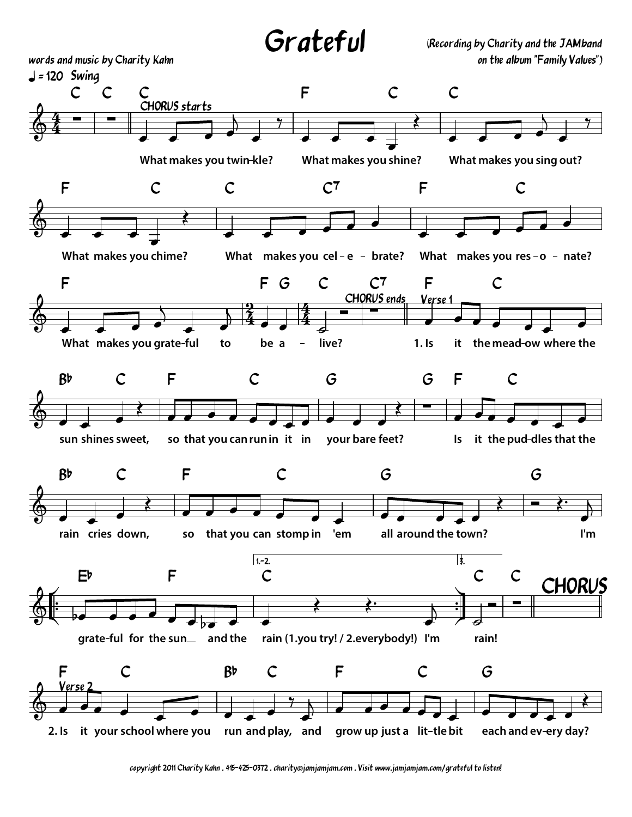Grateful

(Recording by Charity and the JAMband on the album "Family Values")



copyright 2011 Charity Kahn . 415-425-0372 . charity@jamjamjam.com . Visit www.jamjamjam.com/grateful to listen!